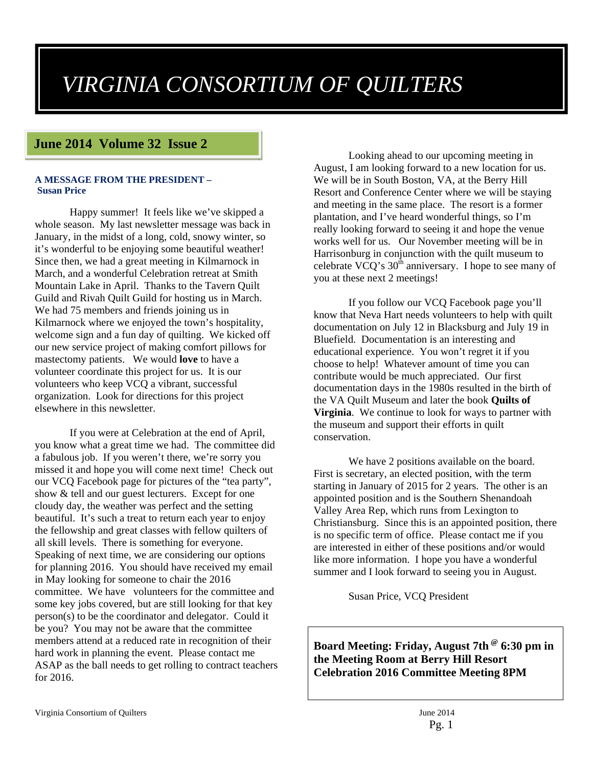# *VIRGINIA CONSORTIUM OF QUILTERS*

# **June 2014 Volume 32 Issue 2**

#### **A MESSAGE FROM THE PRESIDENT – Susan Price**

Happy summer! It feels like we've skipped a whole season. My last newsletter message was back in January, in the midst of a long, cold, snowy winter, so it's wonderful to be enjoying some beautiful weather! Since then, we had a great meeting in Kilmarnock in March, and a wonderful Celebration retreat at Smith Mountain Lake in April. Thanks to the Tavern Quilt Guild and Rivah Quilt Guild for hosting us in March. We had 75 members and friends joining us in Kilmarnock where we enjoyed the town's hospitality, welcome sign and a fun day of quilting. We kicked off our new service project of making comfort pillows for mastectomy patients. We would **love** to have a volunteer coordinate this project for us. It is our volunteers who keep VCQ a vibrant, successful organization. Look for directions for this project elsewhere in this newsletter.

If you were at Celebration at the end of April, you know what a great time we had. The committee did a fabulous job. If you weren't there, we're sorry you missed it and hope you will come next time! Check out our VCQ Facebook page for pictures of the "tea party", show & tell and our guest lecturers. Except for one cloudy day, the weather was perfect and the setting beautiful. It's such a treat to return each year to enjoy the fellowship and great classes with fellow quilters of all skill levels. There is something for everyone. Speaking of next time, we are considering our options for planning 2016. You should have received my email in May looking for someone to chair the 2016 committee. We have volunteers for the committee and some key jobs covered, but are still looking for that key person(s) to be the coordinator and delegator. Could it be you? You may not be aware that the committee members attend at a reduced rate in recognition of their hard work in planning the event. Please contact me ASAP as the ball needs to get rolling to contract teachers for 2016.

Looking ahead to our upcoming meeting in August, I am looking forward to a new location for us. We will be in South Boston, VA, at the Berry Hill Resort and Conference Center where we will be staying and meeting in the same place. The resort is a former plantation, and I've heard wonderful things, so I'm really looking forward to seeing it and hope the venue works well for us. Our November meeting will be in Harrisonburg in conjunction with the quilt museum to celebrate  $\overline{V}CQ$ 's  $30^{th}$  anniversary. I hope to see many of you at these next 2 meetings!

If you follow our VCQ Facebook page you'll know that Neva Hart needs volunteers to help with quilt documentation on July 12 in Blacksburg and July 19 in Bluefield. Documentation is an interesting and educational experience. You won't regret it if you choose to help! Whatever amount of time you can contribute would be much appreciated. Our first documentation days in the 1980s resulted in the birth of the VA Quilt Museum and later the book **Quilts of Virginia**. We continue to look for ways to partner with the museum and support their efforts in quilt conservation.

We have 2 positions available on the board. First is secretary, an elected position, with the term starting in January of 2015 for 2 years. The other is an appointed position and is the Southern Shenandoah Valley Area Rep, which runs from Lexington to Christiansburg. Since this is an appointed position, there is no specific term of office. Please contact me if you are interested in either of these positions and/or would like more information. I hope you have a wonderful summer and I look forward to seeing you in August.

Susan Price, VCQ President

**Board Meeting: Friday, August 7th @ 6:30 pm in the Meeting Room at Berry Hill Resort Celebration 2016 Committee Meeting 8PM**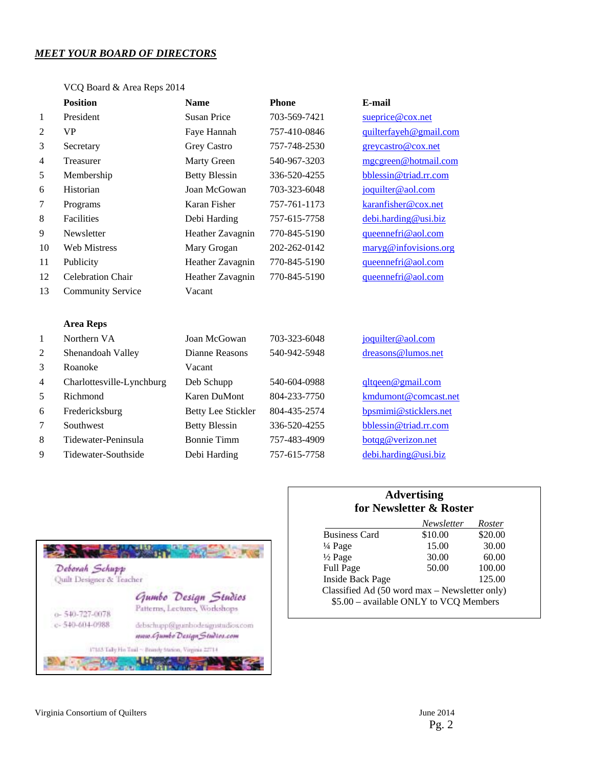# *MEET YOUR BOARD OF DIRECTORS*

#### VCQ Board & Area Reps 2014

|                | <b>Position</b>           | <b>Name</b>               | <b>Phone</b> | E-mail                 |
|----------------|---------------------------|---------------------------|--------------|------------------------|
| $\mathbf{1}$   | President                 | <b>Susan Price</b>        | 703-569-7421 | sueprice@cox.net       |
| $\overline{2}$ | <b>VP</b>                 | Faye Hannah               | 757-410-0846 | quilterfayeh@gmail.com |
| 3              | Secretary                 | Grey Castro               | 757-748-2530 | greycastro@cox.net     |
| 4              | Treasurer                 | Marty Green               | 540-967-3203 | mgcgreen@hotmail.com   |
| 5              | Membership                | <b>Betty Blessin</b>      | 336-520-4255 | bblessin@triad.rr.com  |
| 6              | Historian                 | Joan McGowan              | 703-323-6048 | joquilter@aol.com      |
| 7              | Programs                  | Karan Fisher              | 757-761-1173 | karanfisher@cox.net    |
| $\,8\,$        | Facilities                | Debi Harding              | 757-615-7758 | debi.harding@usi.biz   |
| 9              | Newsletter                | Heather Zavagnin          | 770-845-5190 | queennefri@aol.com     |
| 10             | <b>Web Mistress</b>       | Mary Grogan               | 202-262-0142 | maryg@infovisions.org  |
| 11             | Publicity                 | Heather Zavagnin          | 770-845-5190 | queennefri@aol.com     |
| 12             | Celebration Chair         | Heather Zavagnin          | 770-845-5190 | queennefri@aol.com     |
| 13             | <b>Community Service</b>  | Vacant                    |              |                        |
|                |                           |                           |              |                        |
|                | <b>Area Reps</b>          |                           |              |                        |
| $\mathbf{1}$   | Northern VA               | Joan McGowan              | 703-323-6048 | joquilter@aol.com      |
| $\overline{c}$ | Shenandoah Valley         | Dianne Reasons            | 540-942-5948 | dreasons@lumos.net     |
| 3              | Roanoke                   | Vacant                    |              |                        |
| 4              | Charlottesville-Lynchburg | Deb Schupp                | 540-604-0988 | qltqeen@gmail.com      |
| $\sqrt{5}$     | Richmond                  | <b>Karen DuMont</b>       | 804-233-7750 | kmdumont@comcast.net   |
| 6              | Fredericksburg            | <b>Betty Lee Stickler</b> | 804-435-2574 | bpsmimi@sticklers.net  |
| 7              | Southwest                 | <b>Betty Blessin</b>      | 336-520-4255 | bblessin@triad.rr.com  |
| $\,8\,$        | Tidewater-Peninsula       | <b>Bonnie Timm</b>        | 757-483-4909 | botqg@verizon.net      |
| 9              | Tidewater-Southside       | Debi Harding              | 757-615-7758 | debi.harding@usi.biz   |



# **Advertising for Newsletter & Roster**

|                                               | Newsletter | Roster  |  |
|-----------------------------------------------|------------|---------|--|
| <b>Business Card</b>                          | \$10.00    | \$20.00 |  |
| $\frac{1}{4}$ Page                            | 15.00      | 30.00   |  |
| $\frac{1}{2}$ Page                            | 30.00      | 60.00   |  |
| <b>Full Page</b>                              | 50.00      | 100.00  |  |
| <b>Inside Back Page</b>                       |            | 125.00  |  |
| Classified Ad (50 word max - Newsletter only) |            |         |  |
| \$5.00 - available ONLY to VCQ Members        |            |         |  |
|                                               |            |         |  |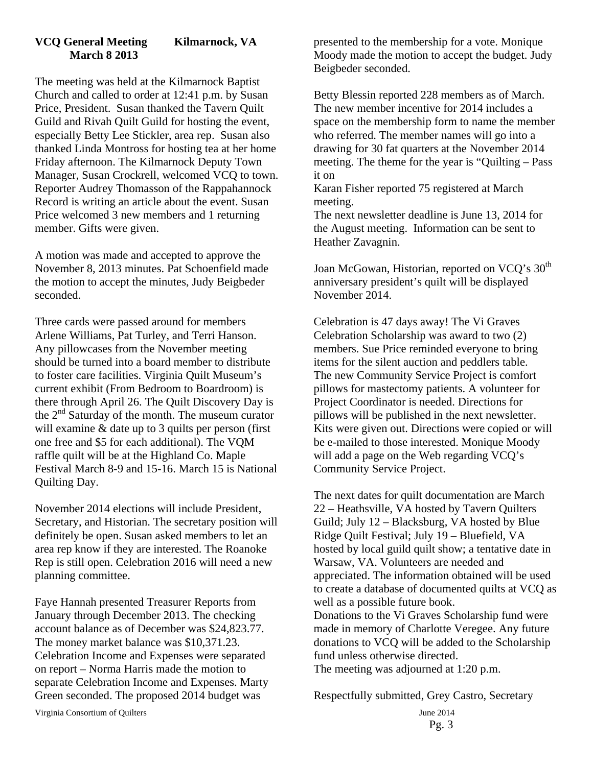# **VCQ General Meeting Kilmarnock, VA March 8 2013**

The meeting was held at the Kilmarnock Baptist Church and called to order at 12:41 p.m. by Susan Price, President. Susan thanked the Tavern Quilt Guild and Rivah Quilt Guild for hosting the event, especially Betty Lee Stickler, area rep. Susan also thanked Linda Montross for hosting tea at her home Friday afternoon. The Kilmarnock Deputy Town Manager, Susan Crockrell, welcomed VCQ to town. Reporter Audrey Thomasson of the Rappahannock Record is writing an article about the event. Susan Price welcomed 3 new members and 1 returning member. Gifts were given.

A motion was made and accepted to approve the November 8, 2013 minutes. Pat Schoenfield made the motion to accept the minutes, Judy Beigbeder seconded.

Three cards were passed around for members Arlene Williams, Pat Turley, and Terri Hanson. Any pillowcases from the November meeting should be turned into a board member to distribute to foster care facilities. Virginia Quilt Museum's current exhibit (From Bedroom to Boardroom) is there through April 26. The Quilt Discovery Day is the  $2<sup>nd</sup>$  Saturday of the month. The museum curator will examine & date up to 3 quilts per person (first) one free and \$5 for each additional). The VQM raffle quilt will be at the Highland Co. Maple Festival March 8-9 and 15-16. March 15 is National Quilting Day.

November 2014 elections will include President, Secretary, and Historian. The secretary position will definitely be open. Susan asked members to let an area rep know if they are interested. The Roanoke Rep is still open. Celebration 2016 will need a new planning committee.

Faye Hannah presented Treasurer Reports from January through December 2013. The checking account balance as of December was \$24,823.77. The money market balance was \$10,371.23. Celebration Income and Expenses were separated on report – Norma Harris made the motion to separate Celebration Income and Expenses. Marty Green seconded. The proposed 2014 budget was

presented to the membership for a vote. Monique Moody made the motion to accept the budget. Judy Beigbeder seconded.

Betty Blessin reported 228 members as of March. The new member incentive for 2014 includes a space on the membership form to name the member who referred. The member names will go into a drawing for 30 fat quarters at the November 2014 meeting. The theme for the year is "Quilting – Pass it on

Karan Fisher reported 75 registered at March meeting.

The next newsletter deadline is June 13, 2014 for the August meeting. Information can be sent to Heather Zavagnin.

Joan McGowan, Historian, reported on VCQ's 30<sup>th</sup> anniversary president's quilt will be displayed November 2014.

Celebration is 47 days away! The Vi Graves Celebration Scholarship was award to two (2) members. Sue Price reminded everyone to bring items for the silent auction and peddlers table. The new Community Service Project is comfort pillows for mastectomy patients. A volunteer for Project Coordinator is needed. Directions for pillows will be published in the next newsletter. Kits were given out. Directions were copied or will be e-mailed to those interested. Monique Moody will add a page on the Web regarding VCQ's Community Service Project.

The next dates for quilt documentation are March 22 – Heathsville, VA hosted by Tavern Quilters Guild; July 12 – Blacksburg, VA hosted by Blue Ridge Quilt Festival; July 19 – Bluefield, VA hosted by local guild quilt show; a tentative date in Warsaw, VA. Volunteers are needed and appreciated. The information obtained will be used to create a database of documented quilts at VCQ as well as a possible future book. Donations to the Vi Graves Scholarship fund were made in memory of Charlotte Veregee. Any future donations to VCQ will be added to the Scholarship fund unless otherwise directed.

The meeting was adjourned at 1:20 p.m.

Respectfully submitted, Grey Castro, Secretary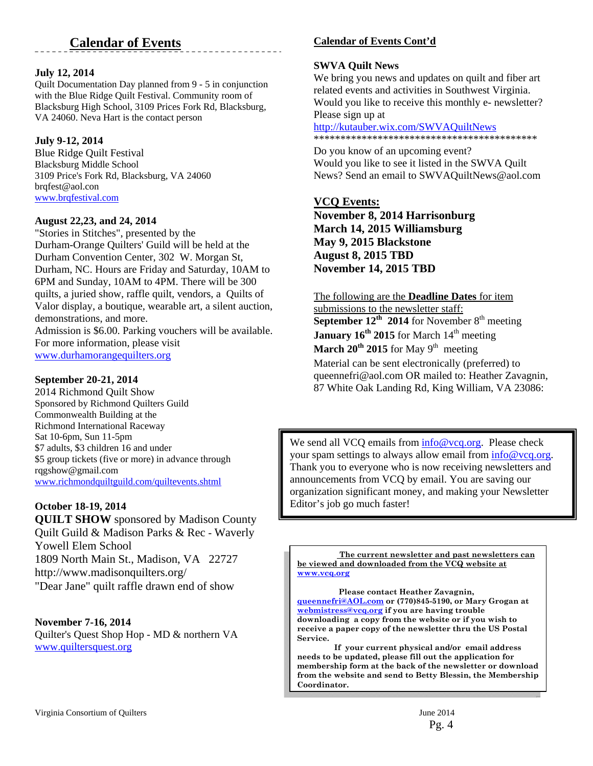# **Calendar of Events**

#### **July 12, 2014**

Quilt Documentation Day planned from 9 - 5 in conjunction with the Blue Ridge Quilt Festival. Community room of Blacksburg High School, 3109 Prices Fork Rd, Blacksburg, VA 24060. Neva Hart is the contact person

#### **July 9-12, 2014**

Blue Ridge Quilt Festival Blacksburg Middle School 3109 Price's Fork Rd, Blacksburg, VA 24060 brqfest@aol.con www.brqfestival.com

#### **August 22,23, and 24, 2014**

"Stories in Stitches", presented by the Durham-Orange Quilters' Guild will be held at the Durham Convention Center, 302 W. Morgan St, Durham, NC. Hours are Friday and Saturday, 10AM to 6PM and Sunday, 10AM to 4PM. There will be 300 quilts, a juried show, raffle quilt, vendors, a Quilts of Valor display, a boutique, wearable art, a silent auction, demonstrations, and more.

Admission is \$6.00. Parking vouchers will be available. For more information, please visit www.durhamorangequilters.org

#### **September 20-21, 2014**

2014 Richmond Quilt Show Sponsored by Richmond Quilters Guild Commonwealth Building at the Richmond International Raceway Sat 10-6pm, Sun 11-5pm \$7 adults, \$3 children 16 and under \$5 group tickets (five or more) in advance through rqgshow@gmail.com www.richmondquiltguild.com/quiltevents.shtml

#### **October 18-19, 2014**

**QUILT SHOW** sponsored by Madison County Quilt Guild & Madison Parks & Rec - Waverly Yowell Elem School 1809 North Main St., Madison, VA 22727 http://www.madisonquilters.org/ "Dear Jane" quilt raffle drawn end of show

#### **November 7-16, 2014**

Quilter's Quest Shop Hop - MD & northern VA www.quiltersquest.org

# **Calendar of Events Cont'd**

#### **SWVA Quilt News**

We bring you news and updates on quilt and fiber art related events and activities in Southwest Virginia. Would you like to receive this monthly e- newsletter? Please sign up at

http://kutauber.wix.com/SWVAQuiltNews \*\*\*\*\*\*\*\*\*\*\*\*\*\*\*\*\*\*\*\*\*\*\*\*\*\*\*\*\*\*\*\*\*\*\*\*\*\*\*\*\*\*

Do you know of an upcoming event? Would you like to see it listed in the SWVA Quilt News? Send an email to SWVAQuiltNews@aol.com

# **VCQ Events:**

**November 8, 2014 Harrisonburg March 14, 2015 Williamsburg May 9, 2015 Blackstone August 8, 2015 TBD November 14, 2015 TBD** 

# The following are the **Deadline Dates** for item

submissions to the newsletter staff: **September 12<sup>th</sup> 2014** for November 8<sup>th</sup> meeting **January 16<sup>th</sup> 2015** for March 14<sup>th</sup> meeting **March 20<sup>th</sup> 2015** for May 9<sup>th</sup> meeting Material can be sent electronically (preferred) to queennefri@aol.com OR mailed to: Heather Zavagnin, 87 White Oak Landing Rd, King William, VA 23086:

We send all VCQ emails from  $info@vcq.org$ . Please check your spam settings to always allow email from info@vcq.org. Thank you to everyone who is now receiving newsletters and announcements from VCQ by email. You are saving our organization significant money, and making your Newsletter Editor's job go much faster!

**The current newsletter and past newsletters can be viewed and downloaded from the VCQ website at www.vcq.org**

 **Please contact Heather Zavagnin, queennefri@AOL.com or (770)845-5190, or Mary Grogan at webmistress@vcq.org if you are having trouble downloading a copy from the website or if you wish to receive a paper copy of the newsletter thru the US Postal Service.** 

 **If your current physical and/or email address needs to be updated, please fill out the application for membership form at the back of the newsletter or download from the website and send to Betty Blessin, the Membership Coordinator.**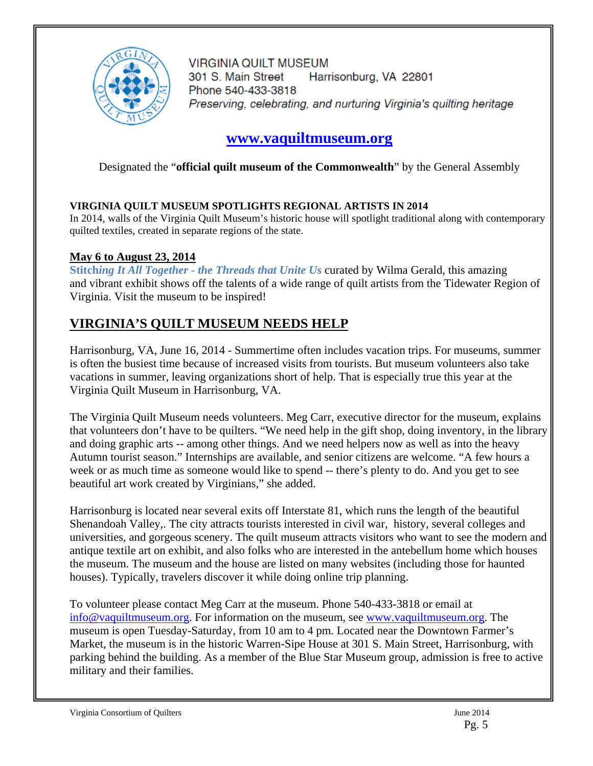

**VIRGINIA QUILT MUSEUM** 301 S. Main Street Harrisonburg, VA 22801 Phone 540-433-3818 Preserving, celebrating, and nurturing Virginia's quilting heritage

# **www.vaquiltmuseum.org**

Designated the "**official quilt museum of the Commonwealth**" by the General Assembly

# **VIRGINIA QUILT MUSEUM SPOTLIGHTS REGIONAL ARTISTS IN 2014**

In 2014, walls of the Virginia Quilt Museum's historic house will spotlight traditional along with contemporary quilted textiles, created in separate regions of the state.

# **May 6 to August 23, 2014**

**Stitch***ing It All Together - the Threads that Unite Us* curated by Wilma Gerald, this amazing and vibrant exhibit shows off the talents of a wide range of quilt artists from the Tidewater Region of Virginia. Visit the museum to be inspired!

# **VIRGINIA'S QUILT MUSEUM NEEDS HELP**

Harrisonburg, VA, June 16, 2014 - Summertime often includes vacation trips. For museums, summer is often the busiest time because of increased visits from tourists. But museum volunteers also take vacations in summer, leaving organizations short of help. That is especially true this year at the Virginia Quilt Museum in Harrisonburg, VA.

The Virginia Quilt Museum needs volunteers. Meg Carr, executive director for the museum, explains that volunteers don't have to be quilters. "We need help in the gift shop, doing inventory, in the library and doing graphic arts -- among other things. And we need helpers now as well as into the heavy Autumn tourist season." Internships are available, and senior citizens are welcome. "A few hours a week or as much time as someone would like to spend -- there's plenty to do. And you get to see beautiful art work created by Virginians," she added.

Harrisonburg is located near several exits off Interstate 81, which runs the length of the beautiful Shenandoah Valley,. The city attracts tourists interested in civil war, history, several colleges and universities, and gorgeous scenery. The quilt museum attracts visitors who want to see the modern and antique textile art on exhibit, and also folks who are interested in the antebellum home which houses the museum. The museum and the house are listed on many websites (including those for haunted houses). Typically, travelers discover it while doing online trip planning.

To volunteer please contact Meg Carr at the museum. Phone 540-433-3818 or email at info@vaquiltmuseum.org. For information on the museum, see www.vaquiltmuseum.org. The museum is open Tuesday-Saturday, from 10 am to 4 pm. Located near the Downtown Farmer's Market, the museum is in the historic Warren-Sipe House at 301 S. Main Street, Harrisonburg, with parking behind the building. As a member of the Blue Star Museum group, admission is free to active military and their families.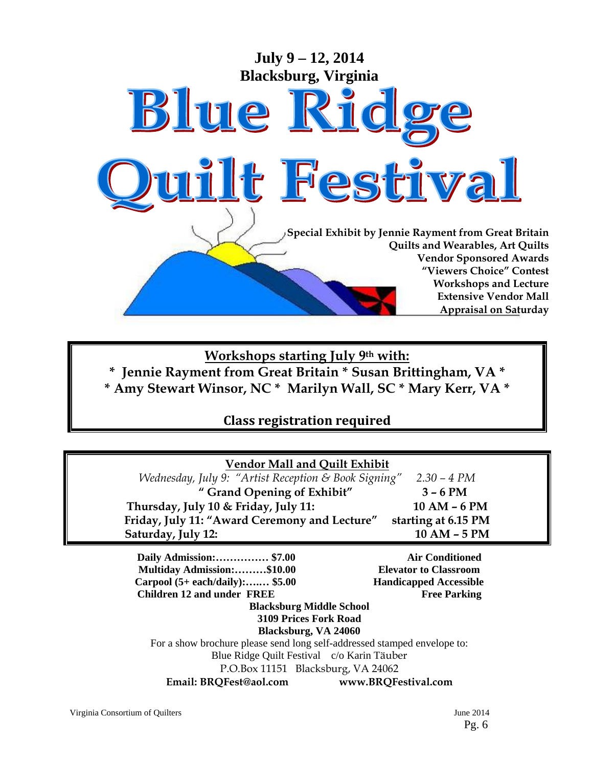

**Workshops starting July 9th with: \* Jennie Rayment from Great Britain \* Susan Brittingham, VA \* \* Amy Stewart Winsor, NC \* Marilyn Wall, SC \* Mary Kerr, VA \*** 

# **Class registration required**

| <b>Vendor Mall and Quilt Exhibit</b>                                     |                               |  |  |
|--------------------------------------------------------------------------|-------------------------------|--|--|
| Wednesday, July 9: "Artist Reception & Book Signing" 2.30 - 4 PM         |                               |  |  |
| " Grand Opening of Exhibit"                                              | $3 - 6 PM$                    |  |  |
| Thursday, July 10 & Friday, July 11:                                     | 10 AM - 6 PM                  |  |  |
| Friday, July 11: "Award Ceremony and Lecture"                            | starting at 6.15 PM           |  |  |
| Saturday, July 12:                                                       | 10 AM - 5 PM                  |  |  |
| Daily Admission: \$7.00                                                  | <b>Air Conditioned</b>        |  |  |
| Multiday Admission:\$10.00                                               | <b>Elevator to Classroom</b>  |  |  |
| Carpool $(5+ each/daily)$ : \$5.00                                       | <b>Handicapped Accessible</b> |  |  |
| <b>Children 12 and under FREE</b>                                        | <b>Free Parking</b>           |  |  |
| <b>Blacksburg Middle School</b>                                          |                               |  |  |
| <b>3109 Prices Fork Road</b>                                             |                               |  |  |
| Blacksburg, VA 24060                                                     |                               |  |  |
| For a show brochure please send long self-addressed stamped envelope to: |                               |  |  |
| Blue Ridge Quilt Festival c/o Karin Täuber                               |                               |  |  |
| P.O.Box 11151 Blacksburg, VA 24062                                       |                               |  |  |
| Email: BRQFest@aol.com                                                   | www.BRQFestival.com           |  |  |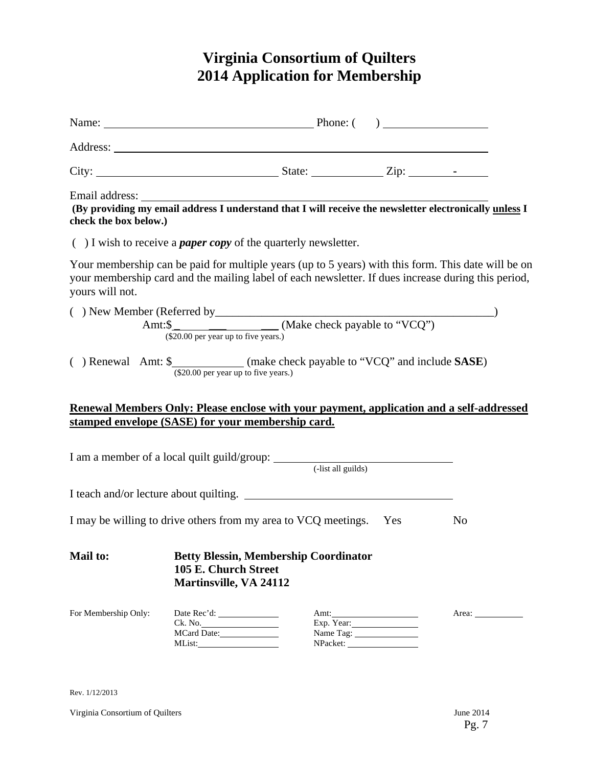# **Virginia Consortium of Quilters 2014 Application for Membership**

| Name: <u>Name:</u> Phone: ( )                                                 |                                                       |                                              |                         |                                                                                                                                                                                                            |
|-------------------------------------------------------------------------------|-------------------------------------------------------|----------------------------------------------|-------------------------|------------------------------------------------------------------------------------------------------------------------------------------------------------------------------------------------------------|
|                                                                               |                                                       |                                              |                         |                                                                                                                                                                                                            |
|                                                                               |                                                       |                                              |                         |                                                                                                                                                                                                            |
| check the box below.)                                                         |                                                       |                                              |                         | Email address: The address of the set of the set of the set of the set of the set of the set of the providing my email address I understand that I will receive the newsletter electronically unless I     |
| $( )$ I wish to receive a <i>paper copy</i> of the quarterly newsletter.      |                                                       |                                              |                         |                                                                                                                                                                                                            |
| yours will not.                                                               |                                                       |                                              |                         | Your membership can be paid for multiple years (up to 5 years) with this form. This date will be on<br>your membership card and the mailing label of each newsletter. If dues increase during this period, |
|                                                                               |                                                       |                                              |                         |                                                                                                                                                                                                            |
| () Renewal Amt: \$_____________(make check payable to "VCQ" and include SASE) | (\$20.00 per year up to five years.)                  |                                              |                         |                                                                                                                                                                                                            |
|                                                                               |                                                       |                                              |                         | Renewal Members Only: Please enclose with your payment, application and a self-addressed                                                                                                                   |
| stamped envelope (SASE) for your membership card.                             |                                                       |                                              |                         |                                                                                                                                                                                                            |
|                                                                               |                                                       |                                              |                         |                                                                                                                                                                                                            |
| I teach and/or lecture about quilting.                                        |                                                       |                                              |                         |                                                                                                                                                                                                            |
| I may be willing to drive others from my area to VCQ meetings. Yes            |                                                       |                                              |                         | N <sub>0</sub>                                                                                                                                                                                             |
| <b>Mail to:</b>                                                               | 105 E. Church Street<br><b>Martinsville, VA 24112</b> | <b>Betty Blessin, Membership Coordinator</b> |                         |                                                                                                                                                                                                            |
| For Membership Only:                                                          | Ck. No.<br>MCard Date:                                |                                              | Exp. Year:<br>Name Tag: |                                                                                                                                                                                                            |

Rev. 1/12/2013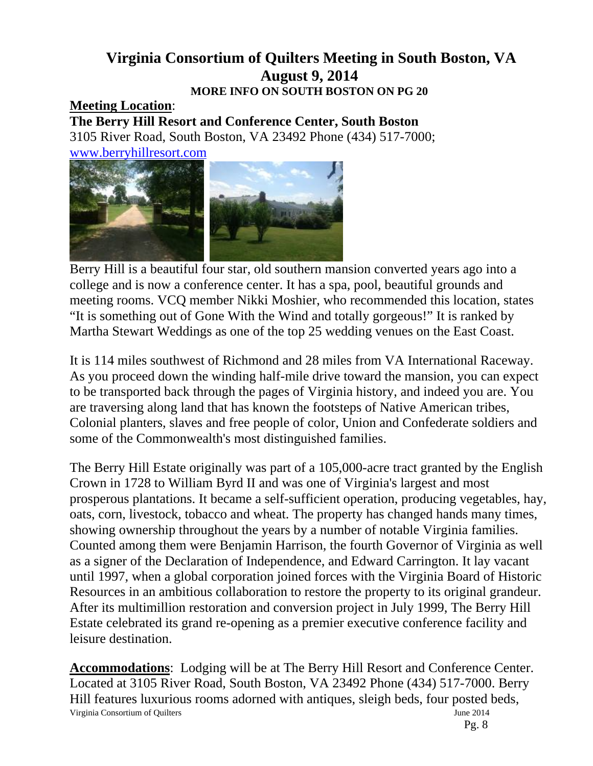# **Virginia Consortium of Quilters Meeting in South Boston, VA August 9, 2014 MORE INFO ON SOUTH BOSTON ON PG 20**

# **Meeting Location**:

**The Berry Hill Resort and Conference Center, South Boston**  3105 River Road, South Boston, VA 23492 Phone (434) 517-7000; www.berryhillresort.com



Berry Hill is a beautiful four star, old southern mansion converted years ago into a college and is now a conference center. It has a spa, pool, beautiful grounds and meeting rooms. VCQ member Nikki Moshier, who recommended this location, states "It is something out of Gone With the Wind and totally gorgeous!" It is ranked by Martha Stewart Weddings as one of the top 25 wedding venues on the East Coast.

It is 114 miles southwest of Richmond and 28 miles from VA International Raceway. As you proceed down the winding half-mile drive toward the mansion, you can expect to be transported back through the pages of Virginia history, and indeed you are. You are traversing along land that has known the footsteps of Native American tribes, Colonial planters, slaves and free people of color, Union and Confederate soldiers and some of the Commonwealth's most distinguished families.

The Berry Hill Estate originally was part of a 105,000-acre tract granted by the English Crown in 1728 to William Byrd II and was one of Virginia's largest and most prosperous plantations. It became a self-sufficient operation, producing vegetables, hay, oats, corn, livestock, tobacco and wheat. The property has changed hands many times, showing ownership throughout the years by a number of notable Virginia families. Counted among them were Benjamin Harrison, the fourth Governor of Virginia as well as a signer of the Declaration of Independence, and Edward Carrington. It lay vacant until 1997, when a global corporation joined forces with the Virginia Board of Historic Resources in an ambitious collaboration to restore the property to its original grandeur. After its multimillion restoration and conversion project in July 1999, The Berry Hill Estate celebrated its grand re-opening as a premier executive conference facility and leisure destination.

Virginia Consortium of Quilters June 2014 Pg. 8 **Accommodations**: Lodging will be at The Berry Hill Resort and Conference Center. Located at 3105 River Road, South Boston, VA 23492 Phone (434) 517-7000. Berry Hill features luxurious rooms adorned with antiques, sleigh beds, four posted beds,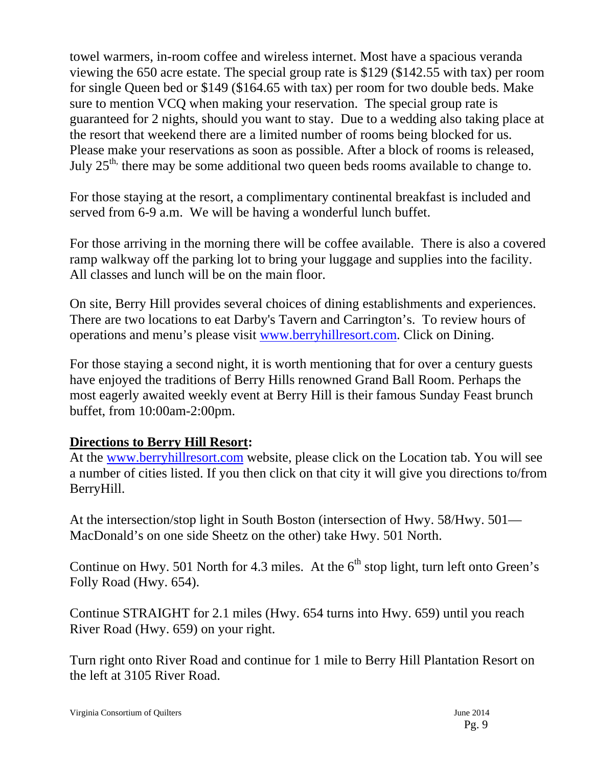towel warmers, in-room coffee and wireless internet. Most have a spacious veranda viewing the 650 acre estate. The special group rate is \$129 (\$142.55 with tax) per room for single Queen bed or \$149 (\$164.65 with tax) per room for two double beds. Make sure to mention VCQ when making your reservation. The special group rate is guaranteed for 2 nights, should you want to stay. Due to a wedding also taking place at the resort that weekend there are a limited number of rooms being blocked for us. Please make your reservations as soon as possible. After a block of rooms is released, July 25<sup>th,</sup> there may be some additional two queen beds rooms available to change to.

For those staying at the resort, a complimentary continental breakfast is included and served from 6-9 a.m. We will be having a wonderful lunch buffet.

For those arriving in the morning there will be coffee available. There is also a covered ramp walkway off the parking lot to bring your luggage and supplies into the facility. All classes and lunch will be on the main floor.

On site, Berry Hill provides several choices of dining establishments and experiences. There are two locations to eat Darby's Tavern and Carrington's. To review hours of operations and menu's please visit www.berryhillresort.com. Click on Dining.

For those staying a second night, it is worth mentioning that for over a century guests have enjoyed the traditions of Berry Hills renowned Grand Ball Room. Perhaps the most eagerly awaited weekly event at Berry Hill is their famous Sunday Feast brunch buffet, from 10:00am-2:00pm.

# **Directions to Berry Hill Resort:**

At the www.berryhillresort.com website, please click on the Location tab. You will see a number of cities listed. If you then click on that city it will give you directions to/from BerryHill.

At the intersection/stop light in South Boston (intersection of Hwy. 58/Hwy. 501— MacDonald's on one side Sheetz on the other) take Hwy. 501 North.

Continue on Hwy. 501 North for 4.3 miles. At the  $6<sup>th</sup>$  stop light, turn left onto Green's Folly Road (Hwy. 654).

Continue STRAIGHT for 2.1 miles (Hwy. 654 turns into Hwy. 659) until you reach River Road (Hwy. 659) on your right.

Turn right onto River Road and continue for 1 mile to Berry Hill Plantation Resort on the left at 3105 River Road.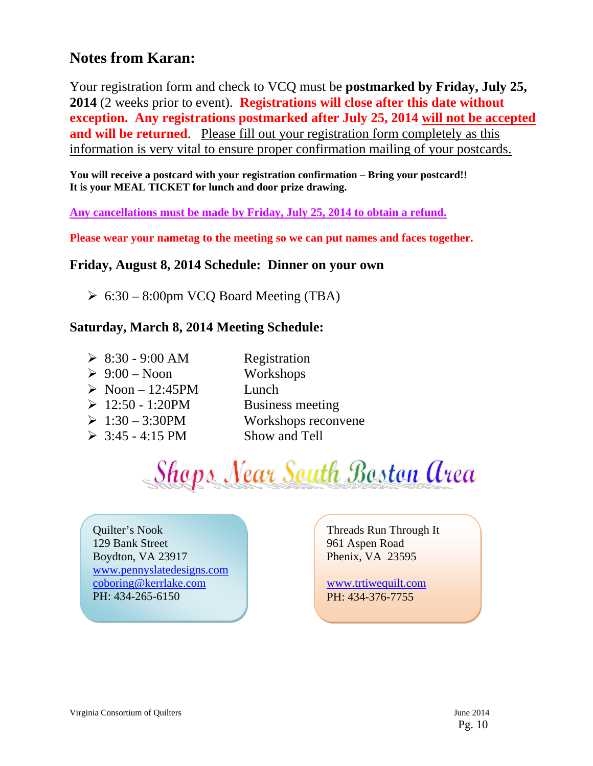# **Notes from Karan:**

Your registration form and check to VCQ must be **postmarked by Friday, July 25, 2014** (2 weeks prior to event). **Registrations will close after this date without exception. Any registrations postmarked after July 25, 2014 will not be accepted and will be returned.** Please fill out your registration form completely as this information is very vital to ensure proper confirmation mailing of your postcards.

**You will receive a postcard with your registration confirmation – Bring your postcard!! It is your MEAL TICKET for lunch and door prize drawing.** 

**Any cancellations must be made by Friday, July 25, 2014 to obtain a refund.** 

**Please wear your nametag to the meeting so we can put names and faces together.** 

# **Friday, August 8, 2014 Schedule: Dinner on your own**

 $\geq 6:30 - 8:00$ pm VCQ Board Meeting (TBA)

# **Saturday, March 8, 2014 Meeting Schedule:**

| $\geq 8:30 - 9:00$ AM           | Registration            |
|---------------------------------|-------------------------|
| $\triangleright$ 9:00 – Noon    | Workshops               |
| $\triangleright$ Noon - 12:45PM | Lunch                   |
| $\geq 12:50 - 1:20PM$           | <b>Business meeting</b> |
| $\geq 1:30 - 3:30 \text{PM}$    | Workshops reconvene     |
| $\geq 3:45 - 4:15 \text{ PM}$   | Show and Tell           |

Shops Near South Boston Area

Quilter's Nook 129 Bank Street Boydton, VA 23917 www.pennyslatedesigns.com coboring@kerrlake.com PH: 434-265-6150

Threads Run Through It 961 Aspen Road Phenix, VA 23595

www.trtiwequilt.com PH: 434-376-7755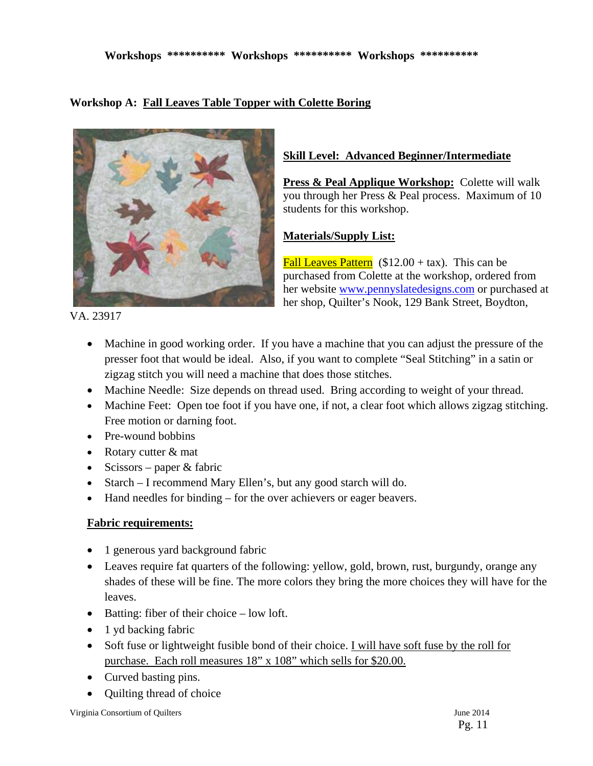# **Workshop A: Fall Leaves Table Topper with Colette Boring**



# **Skill Level: Advanced Beginner/Intermediate**

**Press & Peal Applique Workshop:** Colette will walk you through her Press & Peal process. Maximum of 10 students for this workshop.

# **Materials/Supply List:**

Fall Leaves Pattern  $(\$12.00 + tax)$ . This can be purchased from Colette at the workshop, ordered from her website www.pennyslatedesigns.com or purchased at her shop, Quilter's Nook, 129 Bank Street, Boydton,

VA. 23917

- Machine in good working order. If you have a machine that you can adjust the pressure of the presser foot that would be ideal. Also, if you want to complete "Seal Stitching" in a satin or zigzag stitch you will need a machine that does those stitches.
- Machine Needle: Size depends on thread used. Bring according to weight of your thread.
- Machine Feet: Open toe foot if you have one, if not, a clear foot which allows zigzag stitching. Free motion or darning foot.
- Pre-wound bobbins
- Rotary cutter & mat
- Scissors paper  $&$  fabric
- Starch I recommend Mary Ellen's, but any good starch will do.
- Hand needles for binding for the over achievers or eager beavers.

# **Fabric requirements:**

- 1 generous yard background fabric
- Leaves require fat quarters of the following: yellow, gold, brown, rust, burgundy, orange any shades of these will be fine. The more colors they bring the more choices they will have for the leaves.
- $\bullet$  Batting: fiber of their choice low loft.
- 1 yd backing fabric
- Soft fuse or lightweight fusible bond of their choice. I will have soft fuse by the roll for purchase. Each roll measures 18" x 108" which sells for \$20.00.
- Curved basting pins.
- Quilting thread of choice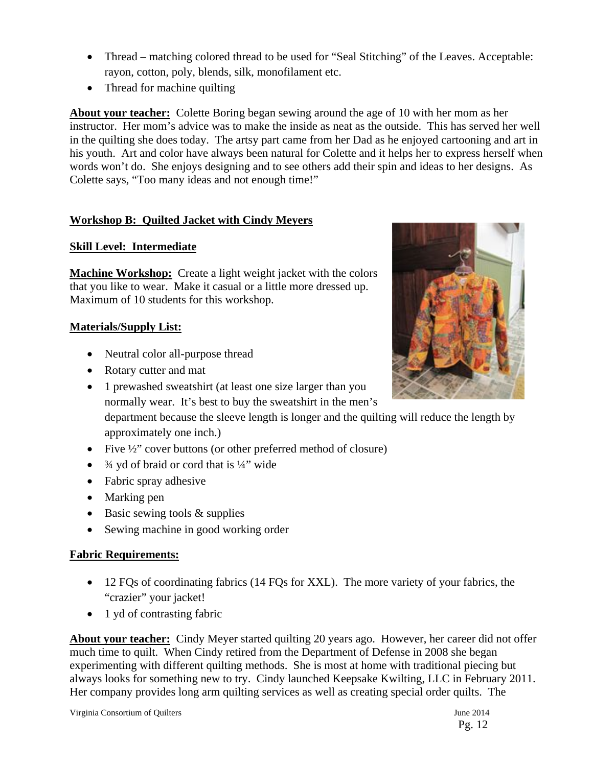- Thread matching colored thread to be used for "Seal Stitching" of the Leaves. Acceptable: rayon, cotton, poly, blends, silk, monofilament etc.
- Thread for machine quilting

**About your teacher:** Colette Boring began sewing around the age of 10 with her mom as her instructor. Her mom's advice was to make the inside as neat as the outside. This has served her well in the quilting she does today. The artsy part came from her Dad as he enjoyed cartooning and art in his youth. Art and color have always been natural for Colette and it helps her to express herself when words won't do. She enjoys designing and to see others add their spin and ideas to her designs. As Colette says, "Too many ideas and not enough time!"

# **Workshop B: Quilted Jacket with Cindy Meyers**

# **Skill Level: Intermediate**

**Machine Workshop:** Create a light weight jacket with the colors that you like to wear. Make it casual or a little more dressed up. Maximum of 10 students for this workshop.

# **Materials/Supply List:**

- Neutral color all-purpose thread
- Rotary cutter and mat
- 1 prewashed sweatshirt (at least one size larger than you normally wear. It's best to buy the sweatshirt in the men's department because the sleeve length is longer and the quilting will reduce the length by

approximately one inch.)

- Five  $\frac{1}{2}$ " cover buttons (or other preferred method of closure)
- $\frac{3}{4}$  yd of braid or cord that is  $\frac{1}{4}$ " wide
- Fabric spray adhesive
- Marking pen
- $\bullet$  Basic sewing tools & supplies
- Sewing machine in good working order

# **Fabric Requirements:**

- 12 FQs of coordinating fabrics (14 FQs for XXL). The more variety of your fabrics, the "crazier" your jacket!
- $\bullet$  1 yd of contrasting fabric

**About your teacher:** Cindy Meyer started quilting 20 years ago. However, her career did not offer much time to quilt. When Cindy retired from the Department of Defense in 2008 she began experimenting with different quilting methods. She is most at home with traditional piecing but always looks for something new to try. Cindy launched Keepsake Kwilting, LLC in February 2011. Her company provides long arm quilting services as well as creating special order quilts. The

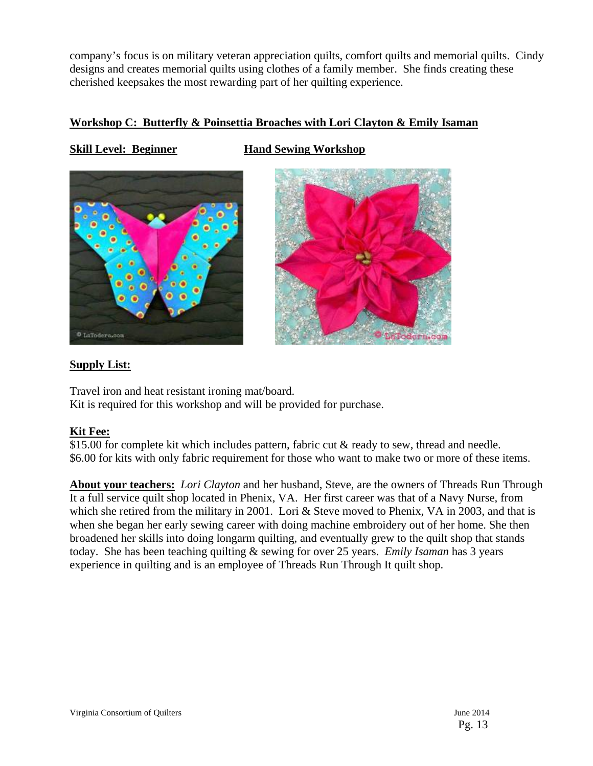company's focus is on military veteran appreciation quilts, comfort quilts and memorial quilts. Cindy designs and creates memorial quilts using clothes of a family member. She finds creating these cherished keepsakes the most rewarding part of her quilting experience.

# **Workshop C: Butterfly & Poinsettia Broaches with Lori Clayton & Emily Isaman**

# **Skill Level: Beginner Hand Sewing Workshop**





# **Supply List:**

Travel iron and heat resistant ironing mat/board. Kit is required for this workshop and will be provided for purchase.

# **Kit Fee:**

\$15.00 for complete kit which includes pattern, fabric cut & ready to sew, thread and needle. \$6.00 for kits with only fabric requirement for those who want to make two or more of these items.

**About your teachers:** *Lori Clayton* and her husband, Steve, are the owners of Threads Run Through It a full service quilt shop located in Phenix, VA. Her first career was that of a Navy Nurse, from which she retired from the military in 2001. Lori & Steve moved to Phenix, VA in 2003, and that is when she began her early sewing career with doing machine embroidery out of her home. She then broadened her skills into doing longarm quilting, and eventually grew to the quilt shop that stands today. She has been teaching quilting & sewing for over 25 years. *Emily Isaman* has 3 years experience in quilting and is an employee of Threads Run Through It quilt shop.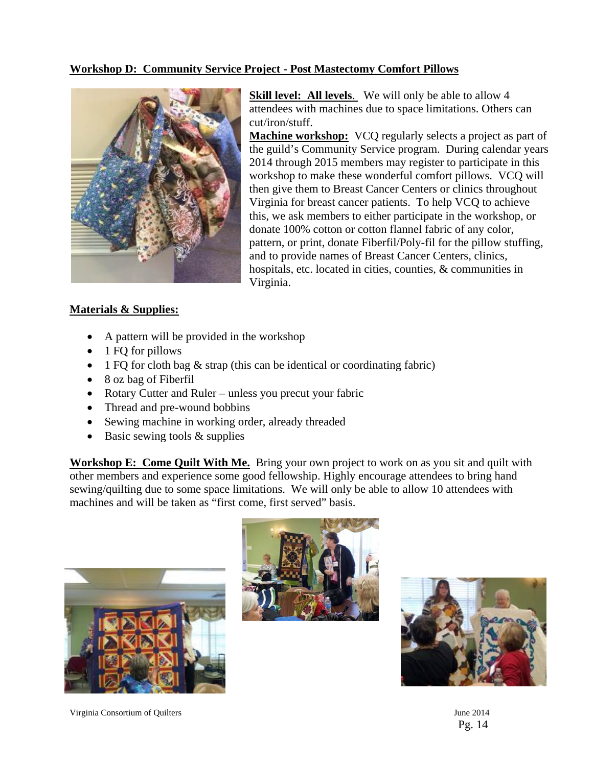# **Workshop D: Community Service Project - Post Mastectomy Comfort Pillows**



**Skill level:** All levels. We will only be able to allow 4 attendees with machines due to space limitations. Others can cut/iron/stuff.

**Machine workshop:** VCQ regularly selects a project as part of the guild's Community Service program. During calendar years 2014 through 2015 members may register to participate in this workshop to make these wonderful comfort pillows. VCQ will then give them to Breast Cancer Centers or clinics throughout Virginia for breast cancer patients. To help VCQ to achieve this, we ask members to either participate in the workshop, or donate 100% cotton or cotton flannel fabric of any color, pattern, or print, donate Fiberfil/Poly-fil for the pillow stuffing, and to provide names of Breast Cancer Centers, clinics, hospitals, etc. located in cities, counties, & communities in Virginia.

## **Materials & Supplies:**

- A pattern will be provided in the workshop
- $\bullet$  1 FQ for pillows
- 1 FQ for cloth bag  $\&$  strap (this can be identical or coordinating fabric)
- 8 oz bag of Fiberfil
- Rotary Cutter and Ruler unless you precut your fabric
- Thread and pre-wound bobbins
- Sewing machine in working order, already threaded
- $\bullet$  Basic sewing tools & supplies

**Workshop E: Come Quilt With Me.** Bring your own project to work on as you sit and quilt with other members and experience some good fellowship. Highly encourage attendees to bring hand sewing/quilting due to some space limitations. We will only be able to allow 10 attendees with machines and will be taken as "first come, first served" basis.





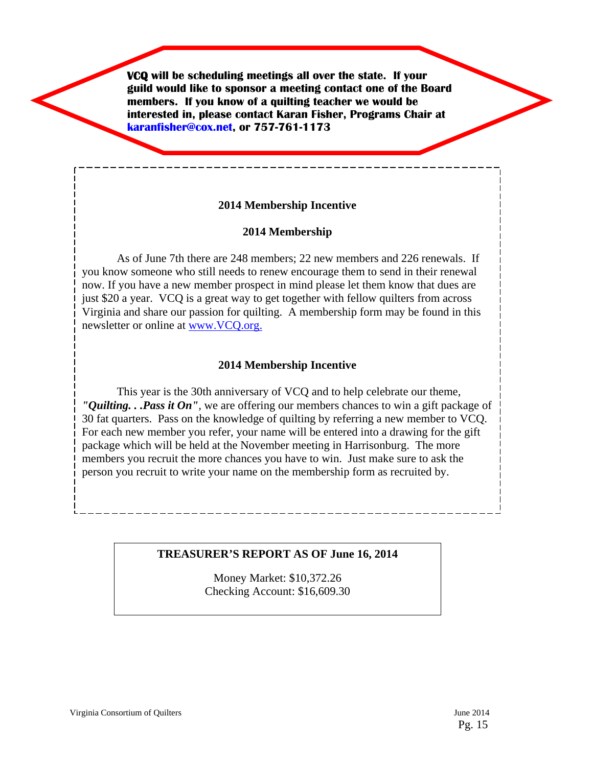**VCQ will be scheduling meetings all over the state. If your guild would like to sponsor a meeting contact one of the Board members. If you know of a quilting teacher we would be interested in, please contact Karan Fisher, Programs Chair at karanfisher@cox.net, or 757-761-1173**

# **2014 Membership Incentive**

# **2014 Membership**

As of June 7th there are 248 members; 22 new members and 226 renewals. If you know someone who still needs to renew encourage them to send in their renewal now. If you have a new member prospect in mind please let them know that dues are just \$20 a year. VCQ is a great way to get together with fellow quilters from across Virginia and share our passion for quilting. A membership form may be found in this newsletter or online at www.VCQ.org.

## **2014 Membership Incentive**

This year is the 30th anniversary of VCQ and to help celebrate our theme, *"Quilting. . .Pass it On",* we are offering our members chances to win a gift package of 30 fat quarters. Pass on the knowledge of quilting by referring a new member to VCQ. For each new member you refer, your name will be entered into a drawing for the gift package which will be held at the November meeting in Harrisonburg. The more members you recruit the more chances you have to win. Just make sure to ask the person you recruit to write your name on the membership form as recruited by.

## **TREASURER'S REPORT AS OF June 16, 2014**

Money Market: \$10,372.26 Checking Account: \$16,609.30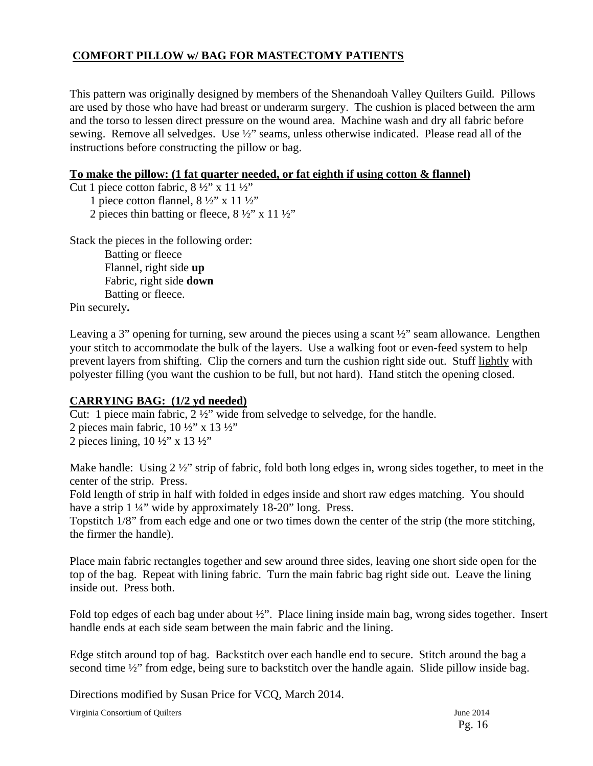# **COMFORT PILLOW w/ BAG FOR MASTECTOMY PATIENTS**

This pattern was originally designed by members of the Shenandoah Valley Quilters Guild. Pillows are used by those who have had breast or underarm surgery. The cushion is placed between the arm and the torso to lessen direct pressure on the wound area. Machine wash and dry all fabric before sewing. Remove all selvedges. Use ½" seams, unless otherwise indicated. Please read all of the instructions before constructing the pillow or bag.

# **To make the pillow: (1 fat quarter needed, or fat eighth if using cotton & flannel)**

Cut 1 piece cotton fabric,  $8\frac{1}{2}$ " x 11  $\frac{1}{2}$ "

1 piece cotton flannel,  $8\frac{1}{2}$ " x 11  $\frac{1}{2}$ "

2 pieces thin batting or fleece,  $8\frac{1}{2}$ " x 11 $\frac{1}{2}$ "

Stack the pieces in the following order:

Batting or fleece Flannel, right side **up**  Fabric, right side **down**  Batting or fleece.

Pin securely**.** 

Leaving a 3" opening for turning, sew around the pieces using a scant  $\frac{1}{2}$ " seam allowance. Lengthen your stitch to accommodate the bulk of the layers. Use a walking foot or even-feed system to help prevent layers from shifting. Clip the corners and turn the cushion right side out. Stuff lightly with polyester filling (you want the cushion to be full, but not hard). Hand stitch the opening closed.

# **CARRYING BAG: (1/2 yd needed)**

Cut: 1 piece main fabric, 2 ½" wide from selvedge to selvedge, for the handle.

2 pieces main fabric,  $10\frac{1}{2}$ " x  $13\frac{1}{2}$ " 2 pieces lining,  $10 \frac{1}{2}$ " x  $13 \frac{1}{2}$ "

Make handle: Using 2 ½" strip of fabric, fold both long edges in, wrong sides together, to meet in the center of the strip. Press.

Fold length of strip in half with folded in edges inside and short raw edges matching. You should have a strip 1 ¼" wide by approximately 18-20" long. Press.

Topstitch 1/8" from each edge and one or two times down the center of the strip (the more stitching, the firmer the handle).

Place main fabric rectangles together and sew around three sides, leaving one short side open for the top of the bag. Repeat with lining fabric. Turn the main fabric bag right side out. Leave the lining inside out. Press both.

Fold top edges of each bag under about ½". Place lining inside main bag, wrong sides together. Insert handle ends at each side seam between the main fabric and the lining.

Edge stitch around top of bag. Backstitch over each handle end to secure. Stitch around the bag a second time  $\frac{1}{2}$ " from edge, being sure to backstitch over the handle again. Slide pillow inside bag.

Directions modified by Susan Price for VCQ, March 2014.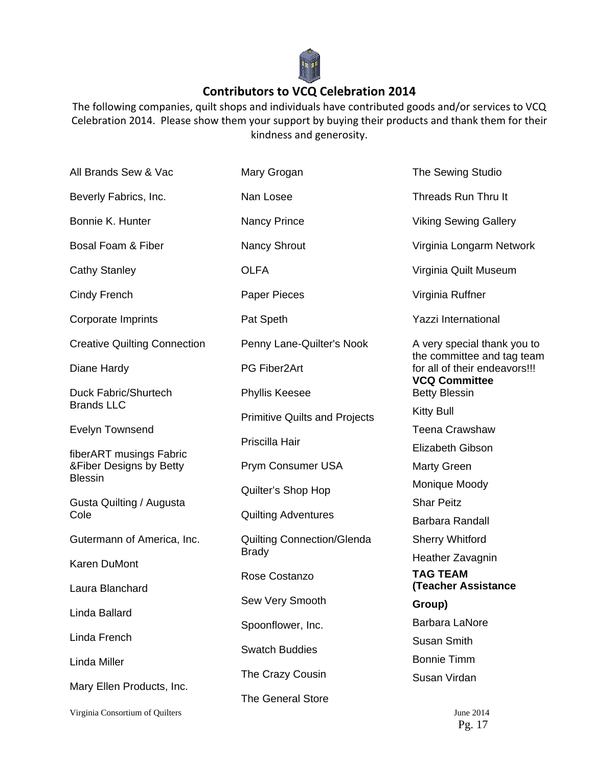

# **Contributors to VCQ Celebration 2014**

The following companies, quilt shops and individuals have contributed goods and/or services to VCQ Celebration 2014. Please show them your support by buying their products and thank them for their kindness and generosity.

| All Brands Sew & Vac                       | Mary Grogan                          | The Sewing Studio                                           |
|--------------------------------------------|--------------------------------------|-------------------------------------------------------------|
| Beverly Fabrics, Inc.                      | Nan Losee                            | Threads Run Thru It                                         |
| Bonnie K. Hunter                           | Nancy Prince                         | <b>Viking Sewing Gallery</b>                                |
| Bosal Foam & Fiber                         | <b>Nancy Shrout</b>                  | Virginia Longarm Network                                    |
| <b>Cathy Stanley</b>                       | <b>OLFA</b>                          | Virginia Quilt Museum                                       |
| Cindy French                               | Paper Pieces                         | Virginia Ruffner                                            |
| Corporate Imprints                         | Pat Speth                            | <b>Yazzi International</b>                                  |
| <b>Creative Quilting Connection</b>        | Penny Lane-Quilter's Nook            | A very special thank you to                                 |
| Diane Hardy                                | PG Fiber2Art                         | the committee and tag team<br>for all of their endeavors!!! |
| Duck Fabric/Shurtech                       | <b>Phyllis Keesee</b>                | <b>VCQ Committee</b><br><b>Betty Blessin</b>                |
| <b>Brands LLC</b>                          | <b>Primitive Quilts and Projects</b> | <b>Kitty Bull</b>                                           |
| <b>Evelyn Townsend</b>                     | Priscilla Hair                       | <b>Teena Crawshaw</b>                                       |
| fiberART musings Fabric                    |                                      | <b>Elizabeth Gibson</b>                                     |
| & Fiber Designs by Betty<br><b>Blessin</b> | Prym Consumer USA                    | <b>Marty Green</b>                                          |
|                                            | Quilter's Shop Hop                   | Monique Moody                                               |
| Gusta Quilting / Augusta                   |                                      | <b>Shar Peitz</b>                                           |
| Cole                                       | <b>Quilting Adventures</b>           | <b>Barbara Randall</b>                                      |
| Gutermann of America, Inc.                 | <b>Quilting Connection/Glenda</b>    | <b>Sherry Whitford</b>                                      |
| <b>Karen DuMont</b>                        | <b>Brady</b>                         | Heather Zavagnin                                            |
|                                            | Rose Costanzo                        | <b>TAG TEAM</b>                                             |
| Laura Blanchard                            | Sew Very Smooth                      | <b>(Teacher Assistance</b>                                  |
| Linda Ballard                              |                                      | Group)                                                      |
|                                            | Spoonflower, Inc.                    | <b>Barbara LaNore</b>                                       |
| Linda French                               | <b>Swatch Buddies</b>                | Susan Smith                                                 |
| Linda Miller                               |                                      | <b>Bonnie Timm</b>                                          |
| Mary Ellen Products, Inc.                  | The Crazy Cousin                     | Susan Virdan                                                |
|                                            | The General Store                    |                                                             |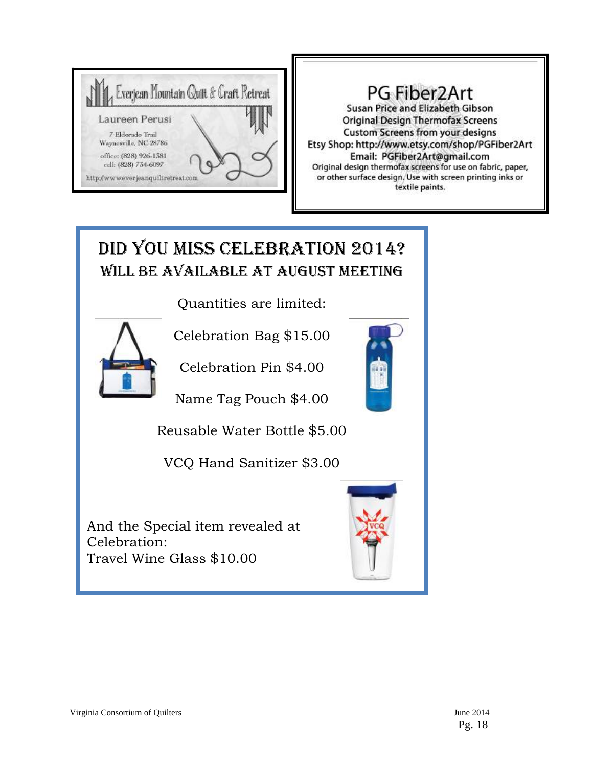

# PG Fiber2Art

Susan Price and Elizabeth Gibson **Original Design Thermofax Screens** Custom Screens from your designs Etsy Shop: http://www.etsy.com/shop/PGFiber2Art Email: PGFiber2Art@gmail.com Original design thermofax screens for use on fabric, paper, or other surface design. Use with screen printing inks or textile paints.

# DID YOU MISS CELEBRATION 2014? WILL BE AVAILABLE AT AUGUST MEETING

Quantities are limited:



Celebration Bag \$15.00

Celebration Pin \$4.00

Name Tag Pouch \$4.00

Reusable Water Bottle \$5.00

VCQ Hand Sanitizer \$3.00

And the Special item revealed at Celebration: Travel Wine Glass \$10.00

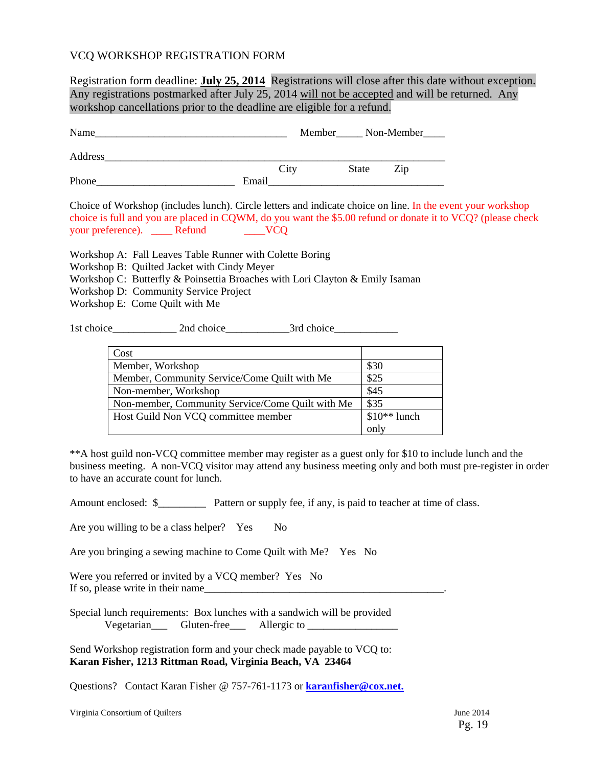## VCQ WORKSHOP REGISTRATION FORM

Registration form deadline: **July 25, 2014** Registrations will close after this date without exception. Any registrations postmarked after July 25, 2014 will not be accepted and will be returned. Any workshop cancellations prior to the deadline are eligible for a refund.

| Name    |       | Member Non-Member |     |  |
|---------|-------|-------------------|-----|--|
| Address |       |                   |     |  |
|         | City  | State             | Zip |  |
| Phone   | Email |                   |     |  |

Choice of Workshop (includes lunch). Circle letters and indicate choice on line. In the event your workshop choice is full and you are placed in CQWM, do you want the \$5.00 refund or donate it to VCQ? (please check your preference). \_\_\_\_\_\_ Refund \_\_\_\_\_\_\_\_\_VCQ

Workshop A: Fall Leaves Table Runner with Colette Boring

- Workshop B: Quilted Jacket with Cindy Meyer
- Workshop C: Butterfly & Poinsettia Broaches with Lori Clayton & Emily Isaman
- Workshop D: Community Service Project
- Workshop E: Come Quilt with Me

1st choice\_\_\_\_\_\_\_\_\_\_\_\_ 2nd choice\_\_\_\_\_\_\_\_\_\_\_\_3rd choice\_\_\_\_\_\_\_\_\_\_\_\_

| Cost                                             |               |
|--------------------------------------------------|---------------|
| Member, Workshop                                 | \$30          |
| Member, Community Service/Come Quilt with Me     | \$25          |
| Non-member, Workshop                             | \$45          |
| Non-member, Community Service/Come Quilt with Me | \$35          |
| Host Guild Non VCQ committee member              | $$10**$ lunch |
|                                                  | only          |

\*\*A host guild non-VCQ committee member may register as a guest only for \$10 to include lunch and the business meeting. A non-VCQ visitor may attend any business meeting only and both must pre-register in order to have an accurate count for lunch.

Amount enclosed:  $\frac{1}{2}$  Pattern or supply fee, if any, is paid to teacher at time of class.

Are you willing to be a class helper? Yes No

Are you bringing a sewing machine to Come Quilt with Me? Yes No

Were you referred or invited by a VCQ member? Yes No If so, please write in their name\_\_\_\_\_\_\_\_\_\_\_\_\_\_\_\_\_\_\_\_\_\_\_\_\_\_\_\_\_\_\_\_\_\_\_\_\_\_\_\_\_\_\_\_\_.

Special lunch requirements: Box lunches with a sandwich will be provided Vegetarian\_\_\_ Gluten-free\_\_\_ Allergic to \_\_\_\_\_\_\_\_\_\_\_\_\_\_\_\_\_

Send Workshop registration form and your check made payable to VCQ to: **Karan Fisher, 1213 Rittman Road, Virginia Beach, VA 23464** 

Questions? Contact Karan Fisher @ 757-761-1173 or **karanfisher@cox.net.**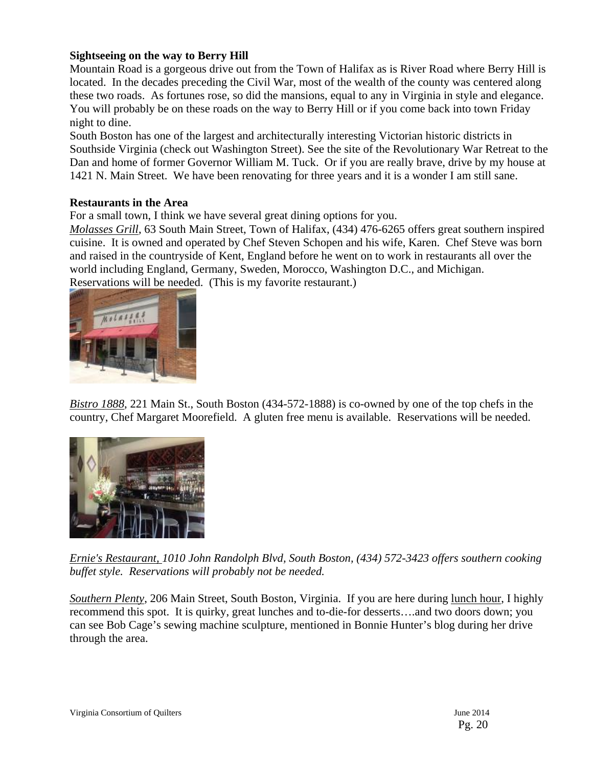# **Sightseeing on the way to Berry Hill**

Mountain Road is a gorgeous drive out from the Town of Halifax as is River Road where Berry Hill is located. In the decades preceding the Civil War, most of the wealth of the county was centered along these two roads. As fortunes rose, so did the mansions, equal to any in Virginia in style and elegance. You will probably be on these roads on the way to Berry Hill or if you come back into town Friday night to dine.

South Boston has one of the largest and architecturally interesting Victorian historic districts in Southside Virginia (check out Washington Street). See the site of the Revolutionary War Retreat to the Dan and home of former Governor William M. Tuck. Or if you are really brave, drive by my house at 1421 N. Main Street. We have been renovating for three years and it is a wonder I am still sane.

# **Restaurants in the Area**

For a small town, I think we have several great dining options for you.

*Molasses Grill*, 63 South Main Street, Town of Halifax, (434) 476-6265 offers great southern inspired cuisine. It is owned and operated by Chef Steven Schopen and his wife, Karen. Chef Steve was born and raised in the countryside of Kent, England before he went on to work in restaurants all over the world including England, Germany, Sweden, Morocco, Washington D.C., and Michigan. Reservations will be needed. (This is my favorite restaurant.)



*Bistro 1888*, 221 Main St., South Boston (434-572-1888) is co-owned by one of the top chefs in the country, Chef Margaret Moorefield. A gluten free menu is available. Reservations will be needed.



*Ernie's Restaurant, 1010 John Randolph Blvd, South Boston, (434) 572-3423 offers southern cooking buffet style. Reservations will probably not be needed.* 

*Southern Plenty*, 206 Main Street, South Boston, Virginia. If you are here during lunch hour, I highly recommend this spot. It is quirky, great lunches and to-die-for desserts….and two doors down; you can see Bob Cage's sewing machine sculpture, mentioned in Bonnie Hunter's blog during her drive through the area.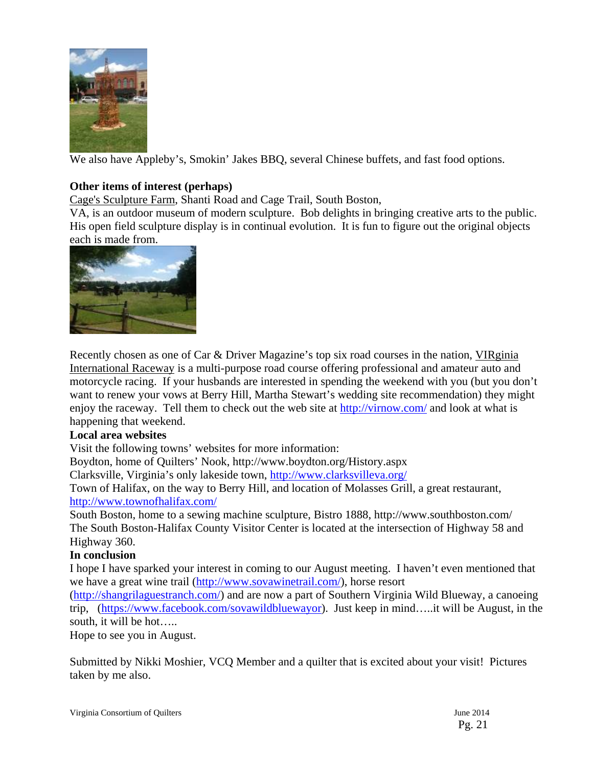

We also have Appleby's, Smokin' Jakes BBQ, several Chinese buffets, and fast food options.

# **Other items of interest (perhaps)**

Cage's Sculpture Farm, Shanti Road and Cage Trail, South Boston,

VA, is an outdoor museum of modern sculpture. Bob delights in bringing creative arts to the public. His open field sculpture display is in continual evolution. It is fun to figure out the original objects each is made from.



Recently chosen as one of Car & Driver Magazine's top six road courses in the nation, VIRginia International Raceway is a multi-purpose road course offering professional and amateur auto and motorcycle racing. If your husbands are interested in spending the weekend with you (but you don't want to renew your vows at Berry Hill, Martha Stewart's wedding site recommendation) they might enjoy the raceway. Tell them to check out the web site at http://virnow.com/ and look at what is happening that weekend.

## **Local area websites**

Visit the following towns' websites for more information:

Boydton, home of Quilters' Nook, http://www.boydton.org/History.aspx

Clarksville, Virginia's only lakeside town, http://www.clarksvilleva.org/

Town of Halifax, on the way to Berry Hill, and location of Molasses Grill, a great restaurant, http://www.townofhalifax.com/

South Boston, home to a sewing machine sculpture, Bistro 1888, http://www.southboston.com/ The South Boston-Halifax County Visitor Center is located at the intersection of Highway 58 and Highway 360.

# **In conclusion**

I hope I have sparked your interest in coming to our August meeting. I haven't even mentioned that we have a great wine trail (http://www.sovawinetrail.com/), horse resort

(http://shangrilaguestranch.com/) and are now a part of Southern Virginia Wild Blueway, a canoeing trip, (https://www.facebook.com/sovawildbluewayor). Just keep in mind…..it will be August, in the south, it will be hot…..

Hope to see you in August.

Submitted by Nikki Moshier, VCQ Member and a quilter that is excited about your visit! Pictures taken by me also.